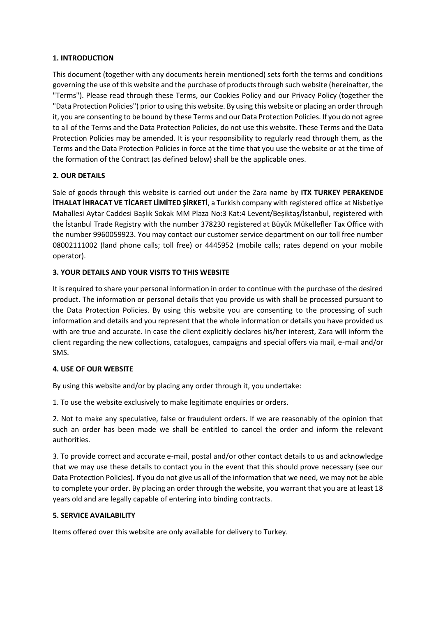### **1. INTRODUCTION**

This document (together with any documents herein mentioned) sets forth the terms and conditions governing the use of this website and the purchase of products through such website (hereinafter, the "Terms"). Please read through these Terms, our Cookies Policy and our Privacy Policy (together the "Data Protection Policies") prior to using this website. By using this website or placing an order through it, you are consenting to be bound by these Terms and our Data Protection Policies. If you do not agree to all of the Terms and the Data Protection Policies, do not use this website. These Terms and the Data Protection Policies may be amended. It is your responsibility to regularly read through them, as the Terms and the Data Protection Policies in force at the time that you use the website or at the time of the formation of the Contract (as defined below) shall be the applicable ones.

# **2. OUR DETAILS**

Sale of goods through this website is carried out under the Zara name by **ITX TURKEY PERAKENDE İTHALAT İHRACAT VE TİCARET LİMİTED ŞİRKETİ**, a Turkish company with registered office at Nisbetiye Mahallesi Aytar Caddesi Başlık Sokak MM Plaza No:3 Kat:4 Levent/Beşiktaş/İstanbul, registered with the İstanbul Trade Registry with the number 378230 registered at Büyük Mükellefler Tax Office with the number 9960059923. You may contact our customer service department on our toll free number 08002111002 (land phone calls; toll free) or 4445952 (mobile calls; rates depend on your mobile operator).

# **3. YOUR DETAILS AND YOUR VISITS TO THIS WEBSITE**

It is required to share your personal information in order to continue with the purchase of the desired product. The information or personal details that you provide us with shall be processed pursuant to the Data Protection Policies. By using this website you are consenting to the processing of such information and details and you represent that the whole information or details you have provided us with are true and accurate. In case the client explicitly declares his/her interest, Zara will inform the client regarding the new collections, catalogues, campaigns and special offers via mail, e-mail and/or SMS.

# **4. USE OF OUR WEBSITE**

By using this website and/or by placing any order through it, you undertake:

1. To use the website exclusively to make legitimate enquiries or orders.

2. Not to make any speculative, false or fraudulent orders. If we are reasonably of the opinion that such an order has been made we shall be entitled to cancel the order and inform the relevant authorities.

3. To provide correct and accurate e-mail, postal and/or other contact details to us and acknowledge that we may use these details to contact you in the event that this should prove necessary (see our Data Protection Policies). If you do not give us all of the information that we need, we may not be able to complete your order. By placing an order through the website, you warrant that you are at least 18 years old and are legally capable of entering into binding contracts.

# **5. SERVICE AVAILABILITY**

Items offered over this website are only available for delivery to Turkey.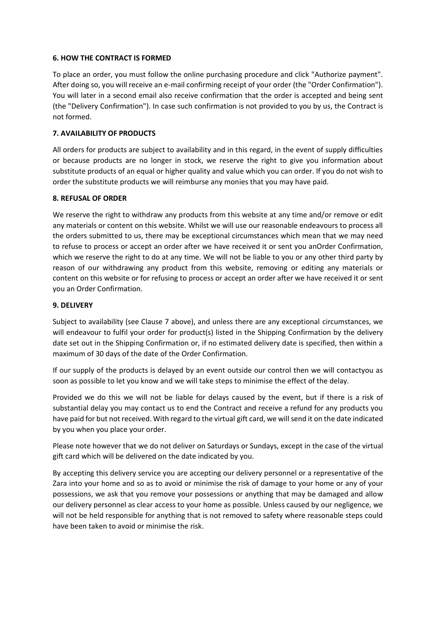#### **6. HOW THE CONTRACT IS FORMED**

To place an order, you must follow the online purchasing procedure and click "Authorize payment". After doing so, you will receive an e-mail confirming receipt of your order (the "Order Confirmation"). You will later in a second email also receive confirmation that the order is accepted and being sent (the "Delivery Confirmation"). In case such confirmation is not provided to you by us, the Contract is not formed.

### **7. AVAILABILITY OF PRODUCTS**

All orders for products are subject to availability and in this regard, in the event of supply difficulties or because products are no longer in stock, we reserve the right to give you information about substitute products of an equal or higher quality and value which you can order. If you do not wish to order the substitute products we will reimburse any monies that you may have paid.

### **8. REFUSAL OF ORDER**

We reserve the right to withdraw any products from this website at any time and/or remove or edit any materials or content on this website. Whilst we will use our reasonable endeavours to process all the orders submitted to us, there may be exceptional circumstances which mean that we may need to refuse to process or accept an order after we have received it or sent you anOrder Confirmation, which we reserve the right to do at any time. We will not be liable to you or any other third party by reason of our withdrawing any product from this website, removing or editing any materials or content on this website or for refusing to process or accept an order after we have received it or sent you an Order Confirmation.

### **9. DELIVERY**

Subject to availability (see Clause 7 above), and unless there are any exceptional circumstances, we will endeavour to fulfil your order for product(s) listed in the Shipping Confirmation by the delivery date set out in the Shipping Confirmation or, if no estimated delivery date is specified, then within a maximum of 30 days of the date of the Order Confirmation.

If our supply of the products is delayed by an event outside our control then we will contactyou as soon as possible to let you know and we will take steps to minimise the effect of the delay.

Provided we do this we will not be liable for delays caused by the event, but if there is a risk of substantial delay you may contact us to end the Contract and receive a refund for any products you have paid for but not received. With regard to the virtual gift card, we will send it on the date indicated by you when you place your order.

Please note however that we do not deliver on Saturdays or Sundays, except in the case of the virtual gift card which will be delivered on the date indicated by you.

By accepting this delivery service you are accepting our delivery personnel or a representative of the Zara into your home and so as to avoid or minimise the risk of damage to your home or any of your possessions, we ask that you remove your possessions or anything that may be damaged and allow our delivery personnel as clear access to your home as possible. Unless caused by our negligence, we will not be held responsible for anything that is not removed to safety where reasonable steps could have been taken to avoid or minimise the risk.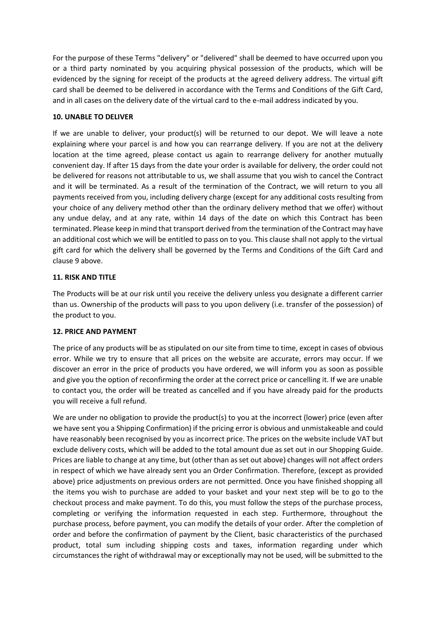For the purpose of these Terms "delivery" or "delivered" shall be deemed to have occurred upon you or a third party nominated by you acquiring physical possession of the products, which will be evidenced by the signing for receipt of the products at the agreed delivery address. The virtual gift card shall be deemed to be delivered in accordance with the Terms and Conditions of the Gift Card, and in all cases on the delivery date of the virtual card to the e-mail address indicated by you.

### **10. UNABLE TO DELIVER**

If we are unable to deliver, your product(s) will be returned to our depot. We will leave a note explaining where your parcel is and how you can rearrange delivery. If you are not at the delivery location at the time agreed, please contact us again to rearrange delivery for another mutually convenient day. If after 15 days from the date your order is available for delivery, the order could not be delivered for reasons not attributable to us, we shall assume that you wish to cancel the Contract and it will be terminated. As a result of the termination of the Contract, we will return to you all payments received from you, including delivery charge (except for any additional costs resulting from your choice of any delivery method other than the ordinary delivery method that we offer) without any undue delay, and at any rate, within 14 days of the date on which this Contract has been terminated. Please keep in mind that transport derived from the termination of the Contract may have an additional cost which we will be entitled to pass on to you. This clause shall not apply to the virtual gift card for which the delivery shall be governed by the Terms and Conditions of the Gift Card and clause 9 above.

# **11. RISK AND TITLE**

The Products will be at our risk until you receive the delivery unless you designate a different carrier than us. Ownership of the products will pass to you upon delivery (i.e. transfer of the possession) of the product to you.

# **12. PRICE AND PAYMENT**

The price of any products will be as stipulated on our site from time to time, except in cases of obvious error. While we try to ensure that all prices on the website are accurate, errors may occur. If we discover an error in the price of products you have ordered, we will inform you as soon as possible and give you the option of reconfirming the order at the correct price or cancelling it. If we are unable to contact you, the order will be treated as cancelled and if you have already paid for the products you will receive a full refund.

We are under no obligation to provide the product(s) to you at the incorrect (lower) price (even after we have sent you a Shipping Confirmation) if the pricing error is obvious and unmistakeable and could have reasonably been recognised by you as incorrect price. The prices on the website include VAT but exclude delivery costs, which will be added to the total amount due as set out in our Shopping Guide. Prices are liable to change at any time, but (other than as set out above) changes will not affect orders in respect of which we have already sent you an Order Confirmation. Therefore, (except as provided above) price adjustments on previous orders are not permitted. Once you have finished shopping all the items you wish to purchase are added to your basket and your next step will be to go to the checkout process and make payment. To do this, you must follow the steps of the purchase process, completing or verifying the information requested in each step. Furthermore, throughout the purchase process, before payment, you can modify the details of your order. After the completion of order and before the confirmation of payment by the Client, basic characteristics of the purchased product, total sum including shipping costs and taxes, information regarding under which circumstances the right of withdrawal may or exceptionally may not be used, will be submitted to the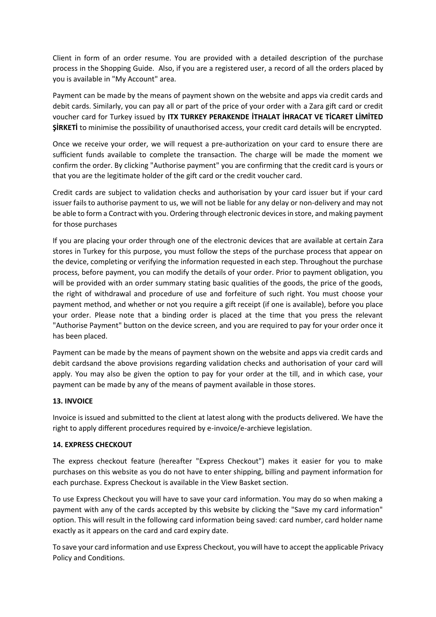Client in form of an order resume. You are provided with a detailed description of the purchase process in the Shopping Guide. Also, if you are a registered user, a record of all the orders placed by you is available in "My Account" area.

Payment can be made by the means of payment shown on the website and apps via credit cards and debit cards. Similarly, you can pay all or part of the price of your order with a Zara gift card or credit voucher card for Turkey issued by **ITX TURKEY PERAKENDE İTHALAT İHRACAT VE TİCARET LİMİTED ŞİRKETİ** to minimise the possibility of unauthorised access, your credit card details will be encrypted.

Once we receive your order, we will request a pre-authorization on your card to ensure there are sufficient funds available to complete the transaction. The charge will be made the moment we confirm the order. By clicking "Authorise payment" you are confirming that the credit card is yours or that you are the legitimate holder of the gift card or the credit voucher card.

Credit cards are subject to validation checks and authorisation by your card issuer but if your card issuer fails to authorise payment to us, we will not be liable for any delay or non-delivery and may not be able to form a Contract with you. Ordering through electronic devices in store, and making payment for those purchases

If you are placing your order through one of the electronic devices that are available at certain Zara stores in Turkey for this purpose, you must follow the steps of the purchase process that appear on the device, completing or verifying the information requested in each step. Throughout the purchase process, before payment, you can modify the details of your order. Prior to payment obligation, you will be provided with an order summary stating basic qualities of the goods, the price of the goods, the right of withdrawal and procedure of use and forfeiture of such right. You must choose your payment method, and whether or not you require a gift receipt (if one is available), before you place your order. Please note that a binding order is placed at the time that you press the relevant "Authorise Payment" button on the device screen, and you are required to pay for your order once it has been placed.

Payment can be made by the means of payment shown on the website and apps via credit cards and debit cardsand the above provisions regarding validation checks and authorisation of your card will apply. You may also be given the option to pay for your order at the till, and in which case, your payment can be made by any of the means of payment available in those stores.

# **13. INVOICE**

Invoice is issued and submitted to the client at latest along with the products delivered. We have the right to apply different procedures required by e-invoice/e-archieve legislation.

### **14. EXPRESS CHECKOUT**

The express checkout feature (hereafter "Express Checkout") makes it easier for you to make purchases on this website as you do not have to enter shipping, billing and payment information for each purchase. Express Checkout is available in the View Basket section.

To use Express Checkout you will have to save your card information. You may do so when making a payment with any of the cards accepted by this website by clicking the "Save my card information" option. This will result in the following card information being saved: card number, card holder name exactly as it appears on the card and card expiry date.

To save your card information and use Express Checkout, you will have to accept the applicable Privacy Policy and Conditions.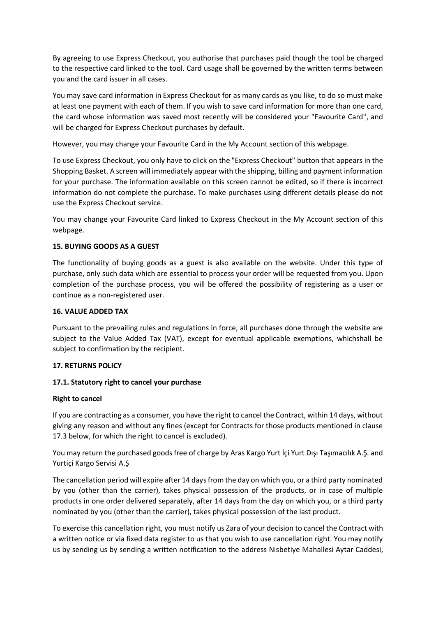By agreeing to use Express Checkout, you authorise that purchases paid though the tool be charged to the respective card linked to the tool. Card usage shall be governed by the written terms between you and the card issuer in all cases.

You may save card information in Express Checkout for as many cards as you like, to do so must make at least one payment with each of them. If you wish to save card information for more than one card, the card whose information was saved most recently will be considered your "Favourite Card", and will be charged for Express Checkout purchases by default.

However, you may change your Favourite Card in the My Account section of this webpage.

To use Express Checkout, you only have to click on the "Express Checkout" button that appears in the Shopping Basket. A screen will immediately appear with the shipping, billing and payment information for your purchase. The information available on this screen cannot be edited, so if there is incorrect information do not complete the purchase. To make purchases using different details please do not use the Express Checkout service.

You may change your Favourite Card linked to Express Checkout in the My Account section of this webpage.

# **15. BUYING GOODS AS A GUEST**

The functionality of buying goods as a guest is also available on the website. Under this type of purchase, only such data which are essential to process your order will be requested from you. Upon completion of the purchase process, you will be offered the possibility of registering as a user or continue as a non-registered user.

# **16. VALUE ADDED TAX**

Pursuant to the prevailing rules and regulations in force, all purchases done through the website are subject to the Value Added Tax (VAT), except for eventual applicable exemptions, whichshall be subject to confirmation by the recipient.

# **17. RETURNS POLICY**

# **17.1. Statutory right to cancel your purchase**

#### **Right to cancel**

If you are contracting as a consumer, you have the right to cancel the Contract, within 14 days, without giving any reason and without any fines (except for Contracts for those products mentioned in clause 17.3 below, for which the right to cancel is excluded).

You may return the purchased goods free of charge by Aras Kargo Yurt İçi Yurt Dışı Taşımacılık A.Ş. and Yurtiçi Kargo Servisi A.Ş

The cancellation period will expire after 14 days from the day on which you, or a third party nominated by you (other than the carrier), takes physical possession of the products, or in case of multiple products in one order delivered separately, after 14 days from the day on which you, or a third party nominated by you (other than the carrier), takes physical possession of the last product.

To exercise this cancellation right, you must notify us Zara of your decision to cancel the Contract with a written notice or via fixed data register to us that you wish to use cancellation right. You may notify us by sending us by sending a written notification to the address Nisbetiye Mahallesi Aytar Caddesi,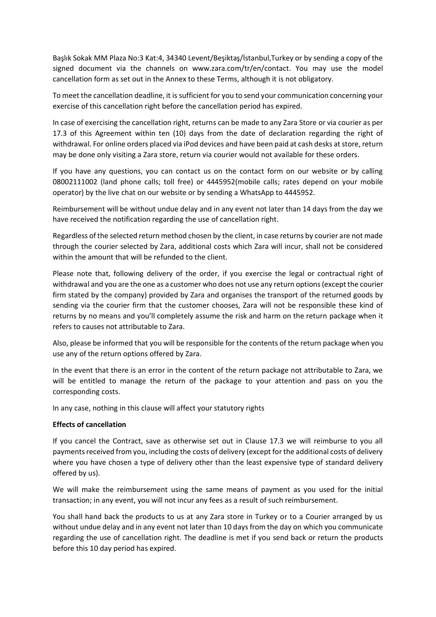Başlık Sokak MM Plaza No:3 Kat:4, 34340 Levent/Beşiktaş/İstanbul,Turkey or by sending a copy of the signed document via the channels on www.zara.com/tr/en/contact. You may use the model cancellation form as set out in the Annex to these Terms, although it is not obligatory.

To meet the cancellation deadline, it is sufficient for you to send your communication concerning your exercise of this cancellation right before the cancellation period has expired.

In case of exercising the cancellation right, returns can be made to any Zara Store or via courier as per 17.3 of this Agreement within ten (10) days from the date of declaration regarding the right of withdrawal. For online orders placed via iPod devices and have been paid at cash desks at store, return may be done only visiting a Zara store, return via courier would not available for these orders.

If you have any questions, you can contact us on the contact form on our website or by calling 08002111002 (land phone calls; toll free) or 4445952(mobile calls; rates depend on your mobile operator) by the live chat on our website or by sending a WhatsApp to 4445952.

Reimbursement will be without undue delay and in any event not later than 14 days from the day we have received the notification regarding the use of cancellation right.

Regardless of the selected return method chosen by the client, in case returns by courier are not made through the courier selected by Zara, additional costs which Zara will incur, shall not be considered within the amount that will be refunded to the client.

Please note that, following delivery of the order, if you exercise the legal or contractual right of withdrawal and you are the one as a customer who does not use any return options (except the courier firm stated by the company) provided by Zara and organises the transport of the returned goods by sending via the courier firm that the customer chooses, Zara will not be responsible these kind of returns by no means and you'll completely assume the risk and harm on the return package when it refers to causes not attributable to Zara.

Also, please be informed that you will be responsible for the contents of the return package when you use any of the return options offered by Zara.

In the event that there is an error in the content of the return package not attributable to Zara, we will be entitled to manage the return of the package to your attention and pass on you the corresponding costs.

In any case, nothing in this clause will affect your statutory rights

#### **Effects of cancellation**

If you cancel the Contract, save as otherwise set out in Clause 17.3 we will reimburse to you all payments received from you, including the costs of delivery (except for the additional costs of delivery where you have chosen a type of delivery other than the least expensive type of standard delivery offered by us).

We will make the reimbursement using the same means of payment as you used for the initial transaction; in any event, you will not incur any fees as a result of such reimbursement.

You shall hand back the products to us at any Zara store in Turkey or to a Courier arranged by us without undue delay and in any event not later than 10 days from the day on which you communicate regarding the use of cancellation right. The deadline is met if you send back or return the products before this 10 day period has expired.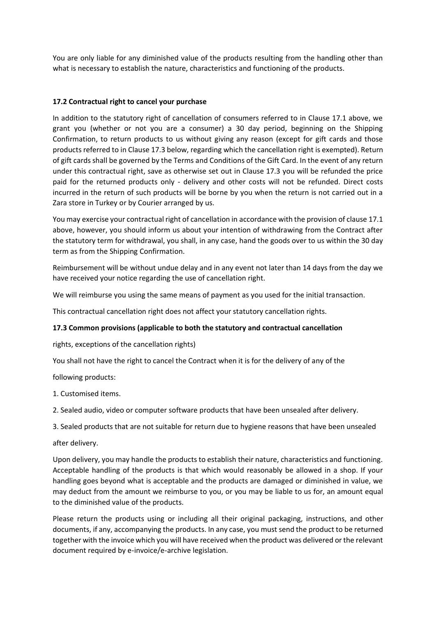You are only liable for any diminished value of the products resulting from the handling other than what is necessary to establish the nature, characteristics and functioning of the products.

### **17.2 Contractual right to cancel your purchase**

In addition to the statutory right of cancellation of consumers referred to in Clause 17.1 above, we grant you (whether or not you are a consumer) a 30 day period, beginning on the Shipping Confirmation, to return products to us without giving any reason (except for gift cards and those products referred to in Clause 17.3 below, regarding which the cancellation right is exempted). Return of gift cards shall be governed by the Terms and Conditions of the Gift Card. In the event of any return under this contractual right, save as otherwise set out in Clause 17.3 you will be refunded the price paid for the returned products only - delivery and other costs will not be refunded. Direct costs incurred in the return of such products will be borne by you when the return is not carried out in a Zara store in Turkey or by Courier arranged by us.

You may exercise your contractual right of cancellation in accordance with the provision of clause 17.1 above, however, you should inform us about your intention of withdrawing from the Contract after the statutory term for withdrawal, you shall, in any case, hand the goods over to us within the 30 day term as from the Shipping Confirmation.

Reimbursement will be without undue delay and in any event not later than 14 days from the day we have received your notice regarding the use of cancellation right.

We will reimburse you using the same means of payment as you used for the initial transaction.

This contractual cancellation right does not affect your statutory cancellation rights.

#### **17.3 Common provisions (applicable to both the statutory and contractual cancellation**

rights, exceptions of the cancellation rights)

You shall not have the right to cancel the Contract when it is for the delivery of any of the

following products:

1. Customised items.

2. Sealed audio, video or computer software products that have been unsealed after delivery.

3. Sealed products that are not suitable for return due to hygiene reasons that have been unsealed

after delivery.

Upon delivery, you may handle the products to establish their nature, characteristics and functioning. Acceptable handling of the products is that which would reasonably be allowed in a shop. If your handling goes beyond what is acceptable and the products are damaged or diminished in value, we may deduct from the amount we reimburse to you, or you may be liable to us for, an amount equal to the diminished value of the products.

Please return the products using or including all their original packaging, instructions, and other documents, if any, accompanying the products. In any case, you must send the product to be returned together with the invoice which you will have received when the product was delivered or the relevant document required by e-invoice/e-archive legislation.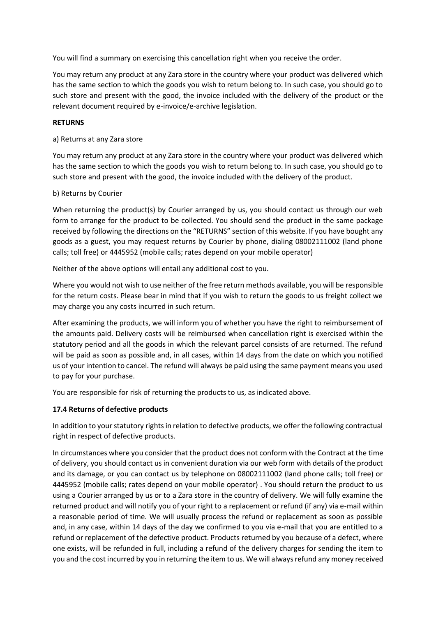You will find a summary on exercising this cancellation right when you receive the order.

You may return any product at any Zara store in the country where your product was delivered which has the same section to which the goods you wish to return belong to. In such case, you should go to such store and present with the good, the invoice included with the delivery of the product or the relevant document required by e-invoice/e-archive legislation.

### **RETURNS**

a) Returns at any Zara store

You may return any product at any Zara store in the country where your product was delivered which has the same section to which the goods you wish to return belong to. In such case, you should go to such store and present with the good, the invoice included with the delivery of the product.

#### b) Returns by Courier

When returning the product(s) by Courier arranged by us, you should contact us through our web form to arrange for the product to be collected. You should send the product in the same package received by following the directions on the "RETURNS" section of this website. If you have bought any goods as a guest, you may request returns by Courier by phone, dialing 08002111002 (land phone calls; toll free) or 4445952 (mobile calls; rates depend on your mobile operator)

Neither of the above options will entail any additional cost to you.

Where you would not wish to use neither of the free return methods available, you will be responsible for the return costs. Please bear in mind that if you wish to return the goods to us freight collect we may charge you any costs incurred in such return.

After examining the products, we will inform you of whether you have the right to reimbursement of the amounts paid. Delivery costs will be reimbursed when cancellation right is exercised within the statutory period and all the goods in which the relevant parcel consists of are returned. The refund will be paid as soon as possible and, in all cases, within 14 days from the date on which you notified us of your intention to cancel. The refund will always be paid using the same payment means you used to pay for your purchase.

You are responsible for risk of returning the products to us, as indicated above.

# **17.4 Returns of defective products**

In addition to your statutory rights in relation to defective products, we offer the following contractual right in respect of defective products.

In circumstances where you consider that the product does not conform with the Contract at the time of delivery, you should contact us in convenient duration via our web form with details of the product and its damage, or you can contact us by telephone on 08002111002 (land phone calls; toll free) or 4445952 (mobile calls; rates depend on your mobile operator) . You should return the product to us using a Courier arranged by us or to a Zara store in the country of delivery. We will fully examine the returned product and will notify you of your right to a replacement or refund (if any) via e-mail within a reasonable period of time. We will usually process the refund or replacement as soon as possible and, in any case, within 14 days of the day we confirmed to you via e-mail that you are entitled to a refund or replacement of the defective product. Products returned by you because of a defect, where one exists, will be refunded in full, including a refund of the delivery charges for sending the item to you and the cost incurred by you in returning the item to us. We will always refund any money received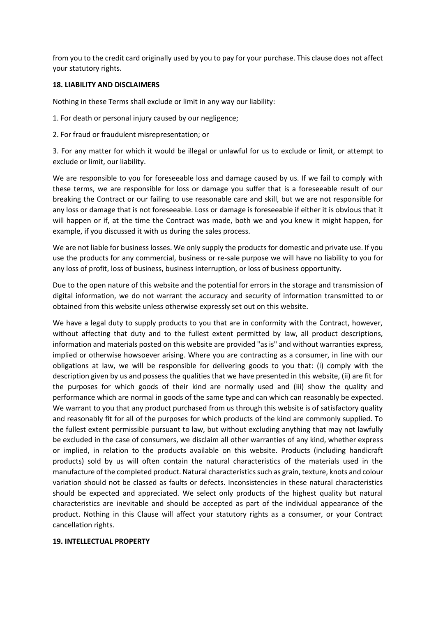from you to the credit card originally used by you to pay for your purchase. This clause does not affect your statutory rights.

#### **18. LIABILITY AND DISCLAIMERS**

Nothing in these Terms shall exclude or limit in any way our liability:

1. For death or personal injury caused by our negligence;

2. For fraud or fraudulent misrepresentation; or

3. For any matter for which it would be illegal or unlawful for us to exclude or limit, or attempt to exclude or limit, our liability.

We are responsible to you for foreseeable loss and damage caused by us. If we fail to comply with these terms, we are responsible for loss or damage you suffer that is a foreseeable result of our breaking the Contract or our failing to use reasonable care and skill, but we are not responsible for any loss or damage that is not foreseeable. Loss or damage is foreseeable if either it is obvious that it will happen or if, at the time the Contract was made, both we and you knew it might happen, for example, if you discussed it with us during the sales process.

We are not liable for business losses. We only supply the products for domestic and private use. If you use the products for any commercial, business or re-sale purpose we will have no liability to you for any loss of profit, loss of business, business interruption, or loss of business opportunity.

Due to the open nature of this website and the potential for errors in the storage and transmission of digital information, we do not warrant the accuracy and security of information transmitted to or obtained from this website unless otherwise expressly set out on this website.

We have a legal duty to supply products to you that are in conformity with the Contract, however, without affecting that duty and to the fullest extent permitted by law, all product descriptions, information and materials posted on this website are provided "as is" and without warranties express, implied or otherwise howsoever arising. Where you are contracting as a consumer, in line with our obligations at law, we will be responsible for delivering goods to you that: (i) comply with the description given by us and possess the qualities that we have presented in this website, (ii) are fit for the purposes for which goods of their kind are normally used and (iii) show the quality and performance which are normal in goods of the same type and can which can reasonably be expected. We warrant to you that any product purchased from us through this website is of satisfactory quality and reasonably fit for all of the purposes for which products of the kind are commonly supplied. To the fullest extent permissible pursuant to law, but without excluding anything that may not lawfully be excluded in the case of consumers, we disclaim all other warranties of any kind, whether express or implied, in relation to the products available on this website. Products (including handicraft products) sold by us will often contain the natural characteristics of the materials used in the manufacture of the completed product. Natural characteristics such as grain, texture, knots and colour variation should not be classed as faults or defects. Inconsistencies in these natural characteristics should be expected and appreciated. We select only products of the highest quality but natural characteristics are inevitable and should be accepted as part of the individual appearance of the product. Nothing in this Clause will affect your statutory rights as a consumer, or your Contract cancellation rights.

#### **19. INTELLECTUAL PROPERTY**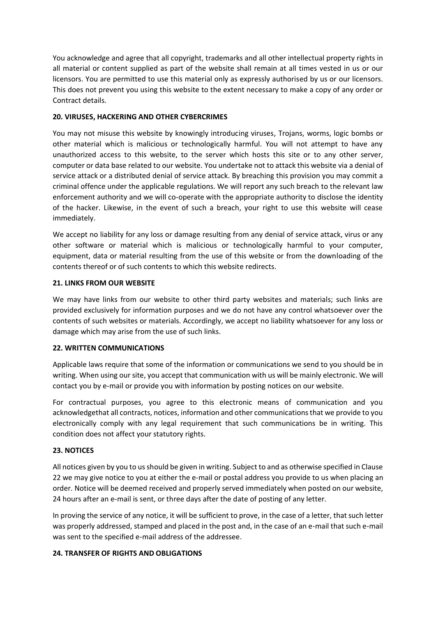You acknowledge and agree that all copyright, trademarks and all other intellectual property rights in all material or content supplied as part of the website shall remain at all times vested in us or our licensors. You are permitted to use this material only as expressly authorised by us or our licensors. This does not prevent you using this website to the extent necessary to make a copy of any order or Contract details.

### **20. VIRUSES, HACKERING AND OTHER CYBERCRIMES**

You may not misuse this website by knowingly introducing viruses, Trojans, worms, logic bombs or other material which is malicious or technologically harmful. You will not attempt to have any unauthorized access to this website, to the server which hosts this site or to any other server, computer or data base related to our website. You undertake not to attack this website via a denial of service attack or a distributed denial of service attack. By breaching this provision you may commit a criminal offence under the applicable regulations. We will report any such breach to the relevant law enforcement authority and we will co-operate with the appropriate authority to disclose the identity of the hacker. Likewise, in the event of such a breach, your right to use this website will cease immediately.

We accept no liability for any loss or damage resulting from any denial of service attack, virus or any other software or material which is malicious or technologically harmful to your computer, equipment, data or material resulting from the use of this website or from the downloading of the contents thereof or of such contents to which this website redirects.

# **21. LINKS FROM OUR WEBSITE**

We may have links from our website to other third party websites and materials; such links are provided exclusively for information purposes and we do not have any control whatsoever over the contents of such websites or materials. Accordingly, we accept no liability whatsoever for any loss or damage which may arise from the use of such links.

#### **22. WRITTEN COMMUNICATIONS**

Applicable laws require that some of the information or communications we send to you should be in writing. When using our site, you accept that communication with us will be mainly electronic. We will contact you by e-mail or provide you with information by posting notices on our website.

For contractual purposes, you agree to this electronic means of communication and you acknowledgethat all contracts, notices, information and other communications that we provide to you electronically comply with any legal requirement that such communications be in writing. This condition does not affect your statutory rights.

#### **23. NOTICES**

All notices given by you to us should be given in writing. Subject to and as otherwise specified in Clause 22 we may give notice to you at either the e-mail or postal address you provide to us when placing an order. Notice will be deemed received and properly served immediately when posted on our website, 24 hours after an e-mail is sent, or three days after the date of posting of any letter.

In proving the service of any notice, it will be sufficient to prove, in the case of a letter, that such letter was properly addressed, stamped and placed in the post and, in the case of an e-mail that such e-mail was sent to the specified e-mail address of the addressee.

#### **24. TRANSFER OF RIGHTS AND OBLIGATIONS**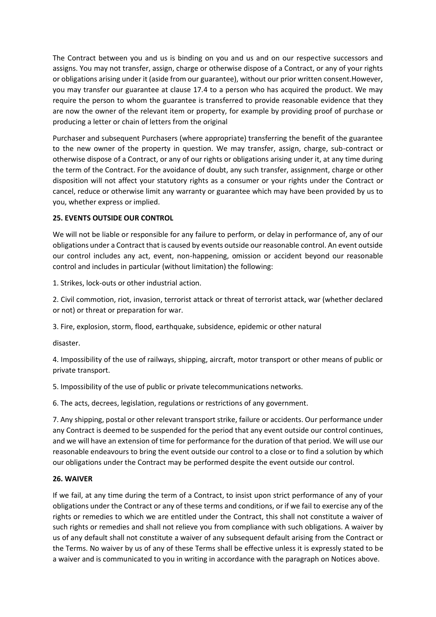The Contract between you and us is binding on you and us and on our respective successors and assigns. You may not transfer, assign, charge or otherwise dispose of a Contract, or any of your rights or obligations arising under it (aside from our guarantee), without our prior written consent.However, you may transfer our guarantee at clause 17.4 to a person who has acquired the product. We may require the person to whom the guarantee is transferred to provide reasonable evidence that they are now the owner of the relevant item or property, for example by providing proof of purchase or producing a letter or chain of letters from the original

Purchaser and subsequent Purchasers (where appropriate) transferring the benefit of the guarantee to the new owner of the property in question. We may transfer, assign, charge, sub-contract or otherwise dispose of a Contract, or any of our rights or obligations arising under it, at any time during the term of the Contract. For the avoidance of doubt, any such transfer, assignment, charge or other disposition will not affect your statutory rights as a consumer or your rights under the Contract or cancel, reduce or otherwise limit any warranty or guarantee which may have been provided by us to you, whether express or implied.

### **25. EVENTS OUTSIDE OUR CONTROL**

We will not be liable or responsible for any failure to perform, or delay in performance of, any of our obligations under a Contract that is caused by events outside our reasonable control. An event outside our control includes any act, event, non-happening, omission or accident beyond our reasonable control and includes in particular (without limitation) the following:

1. Strikes, lock-outs or other industrial action.

2. Civil commotion, riot, invasion, terrorist attack or threat of terrorist attack, war (whether declared or not) or threat or preparation for war.

3. Fire, explosion, storm, flood, earthquake, subsidence, epidemic or other natural

disaster.

4. Impossibility of the use of railways, shipping, aircraft, motor transport or other means of public or private transport.

5. Impossibility of the use of public or private telecommunications networks.

6. The acts, decrees, legislation, regulations or restrictions of any government.

7. Any shipping, postal or other relevant transport strike, failure or accidents. Our performance under any Contract is deemed to be suspended for the period that any event outside our control continues, and we will have an extension of time for performance for the duration of that period. We will use our reasonable endeavours to bring the event outside our control to a close or to find a solution by which our obligations under the Contract may be performed despite the event outside our control.

#### **26. WAIVER**

If we fail, at any time during the term of a Contract, to insist upon strict performance of any of your obligations under the Contract or any of these terms and conditions, or if we fail to exercise any of the rights or remedies to which we are entitled under the Contract, this shall not constitute a waiver of such rights or remedies and shall not relieve you from compliance with such obligations. A waiver by us of any default shall not constitute a waiver of any subsequent default arising from the Contract or the Terms. No waiver by us of any of these Terms shall be effective unless it is expressly stated to be a waiver and is communicated to you in writing in accordance with the paragraph on Notices above.